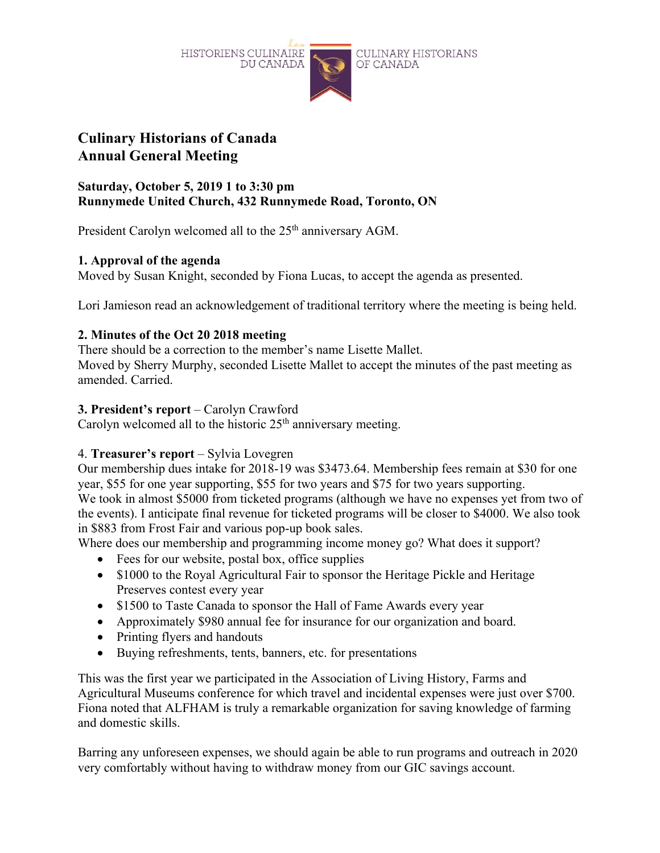

### **Culinary Historians of Canada Annual General Meeting**

### **Saturday, October 5, 2019 1 to 3:30 pm Runnymede United Church, 432 Runnymede Road, Toronto, ON**

President Carolyn welcomed all to the 25<sup>th</sup> anniversary AGM.

### **1. Approval of the agenda**

Moved by Susan Knight, seconded by Fiona Lucas, to accept the agenda as presented.

Lori Jamieson read an acknowledgement of traditional territory where the meeting is being held.

### **2. Minutes of the Oct 20 2018 meeting**

There should be a correction to the member's name Lisette Mallet. Moved by Sherry Murphy, seconded Lisette Mallet to accept the minutes of the past meeting as amended. Carried.

### **3. President's report** – Carolyn Crawford

Carolyn welcomed all to the historic 25<sup>th</sup> anniversary meeting.

### 4. **Treasurer's report** – Sylvia Lovegren

Our membership dues intake for 2018-19 was \$3473.64. Membership fees remain at \$30 for one year, \$55 for one year supporting, \$55 for two years and \$75 for two years supporting. We took in almost \$5000 from ticketed programs (although we have no expenses yet from two of the events). I anticipate final revenue for ticketed programs will be closer to \$4000. We also took in \$883 from Frost Fair and various pop-up book sales.

Where does our membership and programming income money go? What does it support?

- Fees for our website, postal box, office supplies
- \$1000 to the Royal Agricultural Fair to sponsor the Heritage Pickle and Heritage Preserves contest every year
- \$1500 to Taste Canada to sponsor the Hall of Fame Awards every year
- Approximately \$980 annual fee for insurance for our organization and board.
- Printing flyers and handouts
- Buying refreshments, tents, banners, etc. for presentations

This was the first year we participated in the Association of Living History, Farms and Agricultural Museums conference for which travel and incidental expenses were just over \$700. Fiona noted that ALFHAM is truly a remarkable organization for saving knowledge of farming and domestic skills.

Barring any unforeseen expenses, we should again be able to run programs and outreach in 2020 very comfortably without having to withdraw money from our GIC savings account.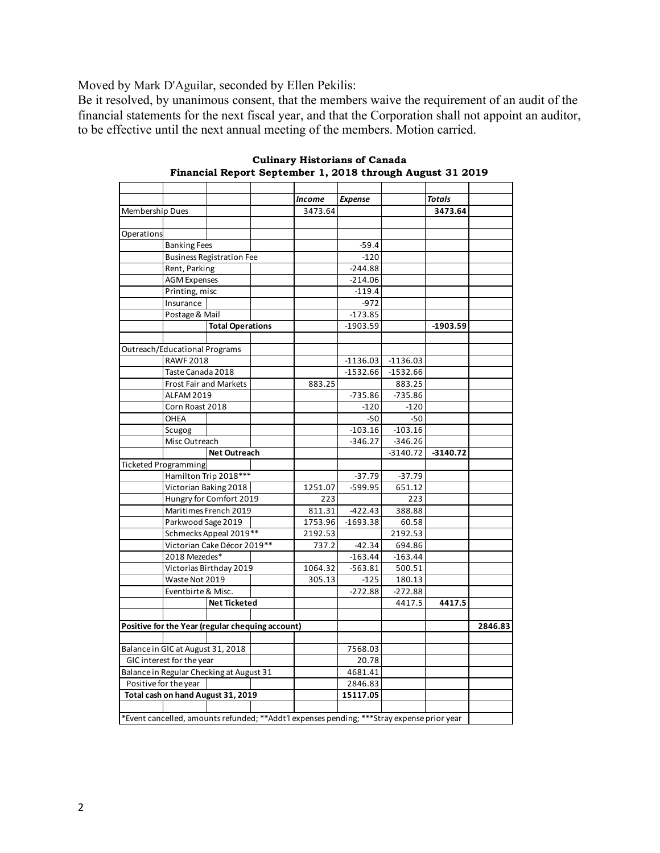Moved by Mark D'Aguilar, seconded by Ellen Pekilis:

Be it resolved, by unanimous consent, that the members waive the requirement of an audit of the financial statements for the next fiscal year, and that the Corporation shall not appoint an auditor, to be effective until the next annual meeting of the members. Motion carried.

|                                          |                                  |                                                  |         | <b>Income</b> | <b>Expense</b>                                                                             |            | <b>Totals</b> |         |
|------------------------------------------|----------------------------------|--------------------------------------------------|---------|---------------|--------------------------------------------------------------------------------------------|------------|---------------|---------|
| Membership Dues                          |                                  |                                                  |         | 3473.64       |                                                                                            |            | 3473.64       |         |
|                                          |                                  |                                                  |         |               |                                                                                            |            |               |         |
| Operations                               |                                  |                                                  |         |               |                                                                                            |            |               |         |
|                                          | <b>Banking Fees</b>              |                                                  |         |               | $-59.4$                                                                                    |            |               |         |
|                                          | <b>Business Registration Fee</b> |                                                  |         |               | $-120$                                                                                     |            |               |         |
|                                          | Rent, Parking                    |                                                  |         |               | $-244.88$                                                                                  |            |               |         |
|                                          | <b>AGM Expenses</b>              |                                                  |         |               | $-214.06$                                                                                  |            |               |         |
|                                          | Printing, misc                   |                                                  |         | $-119.4$      |                                                                                            |            |               |         |
|                                          | Insurance                        |                                                  |         |               | $-972$                                                                                     |            |               |         |
|                                          | Postage & Mail                   |                                                  |         |               | $-173.85$                                                                                  |            |               |         |
|                                          |                                  | <b>Total Operations</b>                          |         |               | $-1903.59$                                                                                 |            | $-1903.59$    |         |
|                                          |                                  |                                                  |         |               |                                                                                            |            |               |         |
|                                          | Outreach/Educational Programs    |                                                  |         |               |                                                                                            |            |               |         |
|                                          | <b>RAWF 2018</b>                 |                                                  |         |               | $-1136.03$                                                                                 | $-1136.03$ |               |         |
|                                          | Taste Canada 2018                |                                                  |         |               | $-1532.66$                                                                                 | $-1532.66$ |               |         |
|                                          | <b>Frost Fair and Markets</b>    |                                                  |         | 883.25        |                                                                                            | 883.25     |               |         |
|                                          | <b>ALFAM 2019</b>                |                                                  |         |               | $-735.86$                                                                                  | $-735.86$  |               |         |
|                                          | Corn Roast 2018                  |                                                  |         |               | $-120$                                                                                     | $-120$     |               |         |
|                                          | OHEA                             |                                                  |         |               | $-50$                                                                                      | $-50$      |               |         |
|                                          | Scugog                           |                                                  |         |               | $-103.16$                                                                                  | $-103.16$  |               |         |
|                                          | Misc Outreach                    |                                                  |         |               | $-346.27$                                                                                  | $-346.26$  |               |         |
|                                          |                                  | <b>Net Outreach</b>                              |         |               |                                                                                            | $-3140.72$ | $-3140.72$    |         |
|                                          | <b>Ticketed Programming</b>      |                                                  |         |               |                                                                                            |            |               |         |
|                                          |                                  | Hamilton Trip 2018***                            |         |               | $-37.79$                                                                                   | $-37.79$   |               |         |
|                                          |                                  | Victorian Baking 2018                            |         | 1251.07       | -599.95                                                                                    | 651.12     |               |         |
|                                          | Hungry for Comfort 2019          |                                                  |         | 223           |                                                                                            | 223        |               |         |
|                                          | Maritimes French 2019            |                                                  |         | 811.31        | $-422.43$                                                                                  | 388.88     |               |         |
|                                          | Parkwood Sage 2019               |                                                  |         | 1753.96       | $-1693.38$                                                                                 | 60.58      |               |         |
|                                          | Schmecks Appeal 2019**           |                                                  | 2192.53 |               | 2192.53                                                                                    |            |               |         |
|                                          | Victorian Cake Décor 2019**      |                                                  | 737.2   | $-42.34$      | 694.86                                                                                     |            |               |         |
|                                          | 2018 Mezedes*                    |                                                  |         | $-163.44$     | $-163.44$                                                                                  |            |               |         |
|                                          | Victorias Birthday 2019          |                                                  | 1064.32 | -563.81       | 500.51                                                                                     |            |               |         |
|                                          | Waste Not 2019                   |                                                  | 305.13  | $-125$        | 180.13                                                                                     |            |               |         |
|                                          | Eventbirte & Misc.               |                                                  |         |               | $-272.88$                                                                                  | $-272.88$  |               |         |
|                                          |                                  | <b>Net Ticketed</b>                              |         |               |                                                                                            | 4417.5     | 4417.5        |         |
|                                          |                                  | Positive for the Year (regular chequing account) |         |               |                                                                                            |            |               | 2846.83 |
|                                          |                                  |                                                  |         |               |                                                                                            |            |               |         |
| Balance in GIC at August 31, 2018        |                                  |                                                  |         | 7568.03       |                                                                                            |            |               |         |
| GIC interest for the year                |                                  |                                                  |         |               | 20.78                                                                                      |            |               |         |
| Balance in Regular Checking at August 31 |                                  |                                                  |         |               | 4681.41                                                                                    |            |               |         |
| Positive for the year                    |                                  |                                                  |         |               | 2846.83                                                                                    |            |               |         |
| Total cash on hand August 31, 2019       |                                  |                                                  |         |               | 15117.05                                                                                   |            |               |         |
|                                          |                                  |                                                  |         |               |                                                                                            |            |               |         |
|                                          |                                  |                                                  |         |               | *Event cancelled, amounts refunded; **Addt'l expenses pending; ***Stray expense prior year |            |               |         |

**Culinary Historians of Canada Financial Report September 1, 2018 through August 31 2019**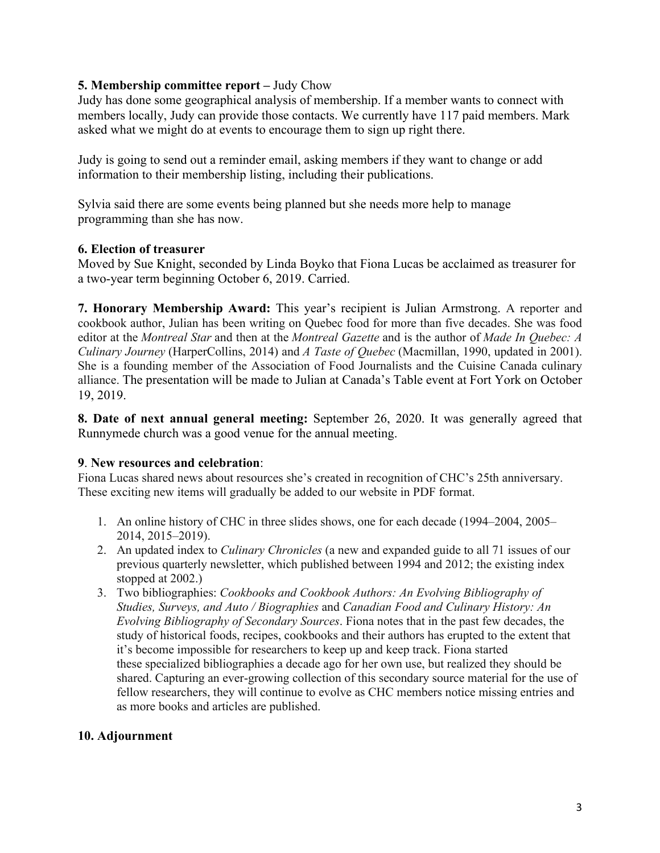### **5. Membership committee report –** Judy Chow

Judy has done some geographical analysis of membership. If a member wants to connect with members locally, Judy can provide those contacts. We currently have 117 paid members. Mark asked what we might do at events to encourage them to sign up right there.

Judy is going to send out a reminder email, asking members if they want to change or add information to their membership listing, including their publications.

Sylvia said there are some events being planned but she needs more help to manage programming than she has now.

### **6. Election of treasurer**

Moved by Sue Knight, seconded by Linda Boyko that Fiona Lucas be acclaimed as treasurer for a two-year term beginning October 6, 2019. Carried.

**7. Honorary Membership Award:** This year's recipient is Julian Armstrong. A reporter and cookbook author, Julian has been writing on Quebec food for more than five decades. She was food editor at the *Montreal Star* and then at the *Montreal Gazette* and is the author of *Made In Quebec: A Culinary Journey* (HarperCollins, 2014) and *A Taste of Quebec* (Macmillan, 1990, updated in 2001). She is a founding member of the Association of Food Journalists and the Cuisine Canada culinary alliance. The presentation will be made to Julian at Canada's Table event at Fort York on October 19, 2019.

**8. Date of next annual general meeting:** September 26, 2020. It was generally agreed that Runnymede church was a good venue for the annual meeting.

### **9**. **New resources and celebration**:

Fiona Lucas shared news about resources she's created in recognition of CHC's 25th anniversary. These exciting new items will gradually be added to our website in PDF format.

- 1. An online history of CHC in three slides shows, one for each decade (1994–2004, 2005– 2014, 2015–2019).
- 2. An updated index to *Culinary Chronicles* (a new and expanded guide to all 71 issues of our previous quarterly newsletter, which published between 1994 and 2012; the existing index stopped at 2002.)
- 3. Two bibliographies: *Cookbooks and Cookbook Authors: An Evolving Bibliography of Studies, Surveys, and Auto / Biographies* and *Canadian Food and Culinary History: An Evolving Bibliography of Secondary Sources*. Fiona notes that in the past few decades, the study of historical foods, recipes, cookbooks and their authors has erupted to the extent that it's become impossible for researchers to keep up and keep track. Fiona started these specialized bibliographies a decade ago for her own use, but realized they should be shared. Capturing an ever-growing collection of this secondary source material for the use of fellow researchers, they will continue to evolve as CHC members notice missing entries and as more books and articles are published.

### **10. Adjournment**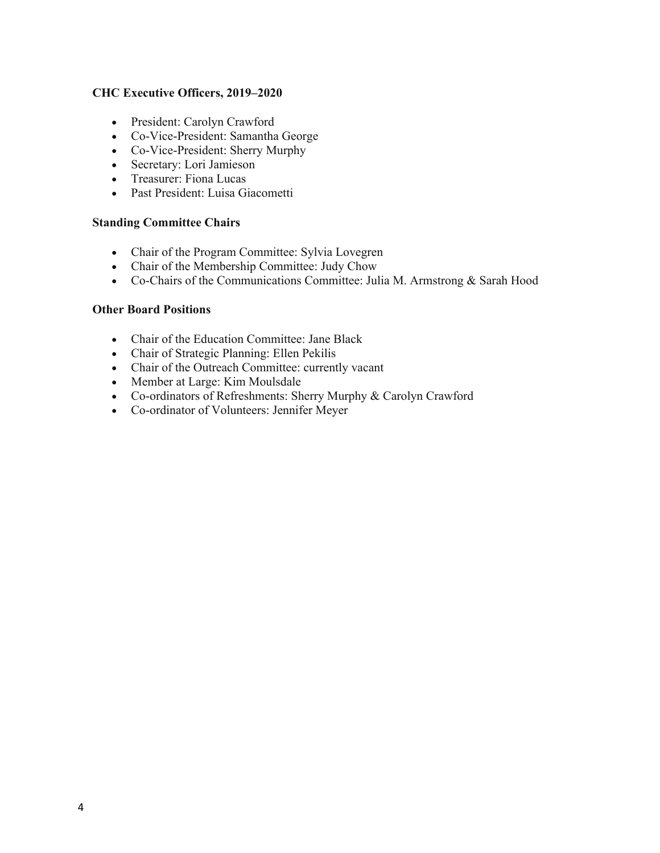### **CHC Executive Officers, 2019–2020**

- President: Carolyn Crawford
- Co-Vice-President: Samantha George
- Co-Vice-President: Sherry Murphy
- Secretary: Lori Jamieson
- Treasurer: Fiona Lucas
- Past President: Luisa Giacometti

#### **Standing Committee Chairs**

- Chair of the Program Committee: Sylvia Lovegren
- Chair of the Membership Committee: Judy Chow
- Co-Chairs of the Communications Committee: Julia M. Armstrong & Sarah Hood

#### **Other Board Positions**

- Chair of the Education Committee: Jane Black
- Chair of Strategic Planning: Ellen Pekilis
- Chair of the Outreach Committee: currently vacant
- Member at Large: Kim Moulsdale
- Co-ordinators of Refreshments: Sherry Murphy & Carolyn Crawford
- Co-ordinator of Volunteers: Jennifer Meyer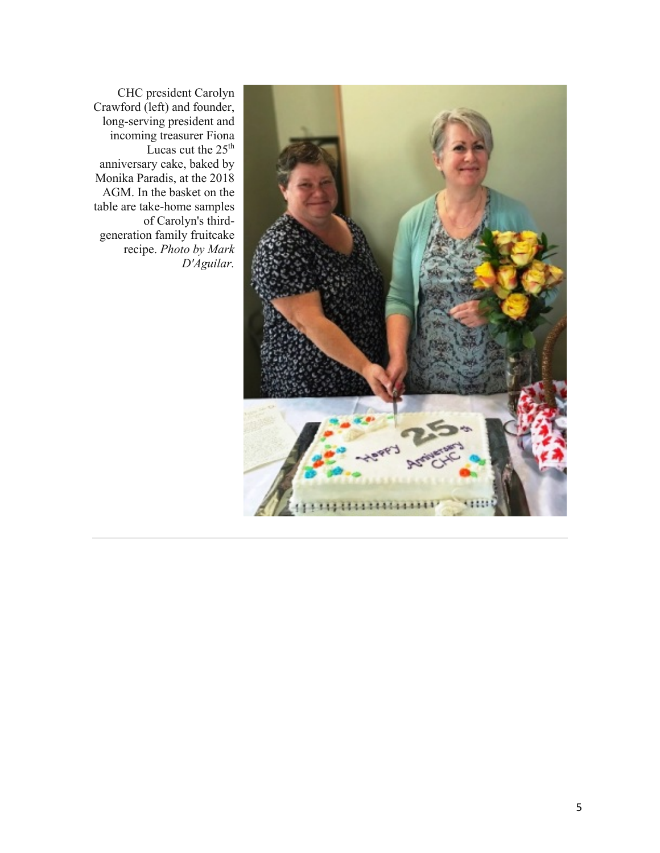

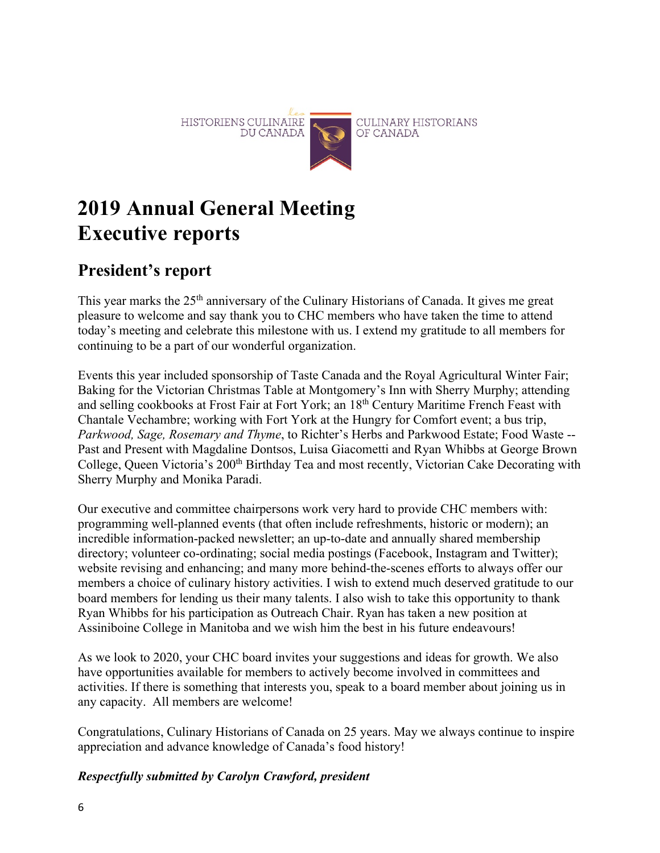

# **2019 Annual General Meeting Executive reports**

# **President's report**

This year marks the 25<sup>th</sup> anniversary of the Culinary Historians of Canada. It gives me great pleasure to welcome and say thank you to CHC members who have taken the time to attend today's meeting and celebrate this milestone with us. I extend my gratitude to all members for continuing to be a part of our wonderful organization.

Events this year included sponsorship of Taste Canada and the Royal Agricultural Winter Fair; Baking for the Victorian Christmas Table at Montgomery's Inn with Sherry Murphy; attending and selling cookbooks at Frost Fair at Fort York; an 18th Century Maritime French Feast with Chantale Vechambre; working with Fort York at the Hungry for Comfort event; a bus trip, *Parkwood, Sage, Rosemary and Thyme*, to Richter's Herbs and Parkwood Estate; Food Waste -- Past and Present with Magdaline Dontsos, Luisa Giacometti and Ryan Whibbs at George Brown College, Queen Victoria's 200<sup>th</sup> Birthday Tea and most recently, Victorian Cake Decorating with Sherry Murphy and Monika Paradi.

Our executive and committee chairpersons work very hard to provide CHC members with: programming well-planned events (that often include refreshments, historic or modern); an incredible information-packed newsletter; an up-to-date and annually shared membership directory; volunteer co-ordinating; social media postings (Facebook, Instagram and Twitter); website revising and enhancing; and many more behind-the-scenes efforts to always offer our members a choice of culinary history activities. I wish to extend much deserved gratitude to our board members for lending us their many talents. I also wish to take this opportunity to thank Ryan Whibbs for his participation as Outreach Chair. Ryan has taken a new position at Assiniboine College in Manitoba and we wish him the best in his future endeavours!

As we look to 2020, your CHC board invites your suggestions and ideas for growth. We also have opportunities available for members to actively become involved in committees and activities. If there is something that interests you, speak to a board member about joining us in any capacity. All members are welcome!

Congratulations, Culinary Historians of Canada on 25 years. May we always continue to inspire appreciation and advance knowledge of Canada's food history!

### *Respectfully submitted by Carolyn Crawford, president*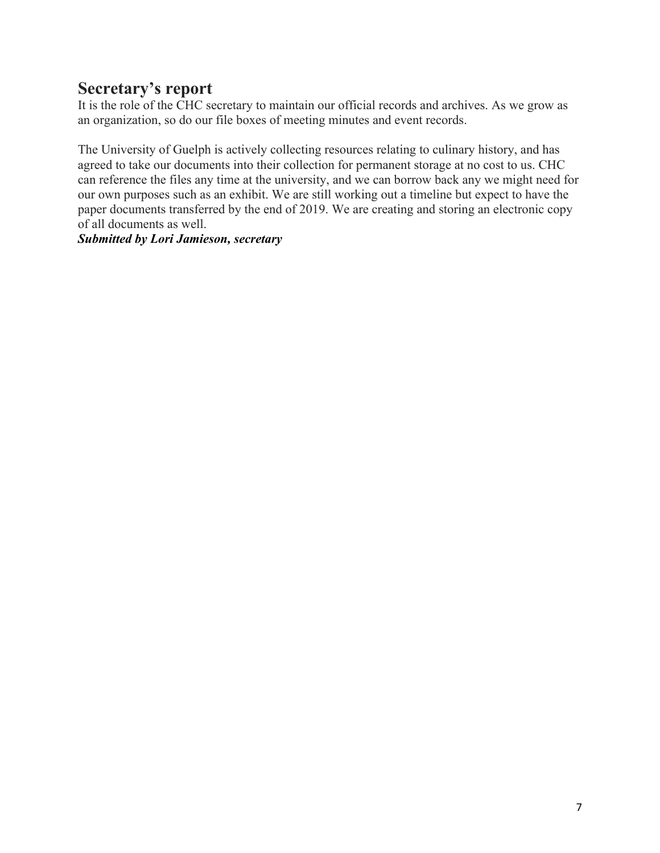# **Secretary's report**

It is the role of the CHC secretary to maintain our official records and archives. As we grow as an organization, so do our file boxes of meeting minutes and event records.

The University of Guelph is actively collecting resources relating to culinary history, and has agreed to take our documents into their collection for permanent storage at no cost to us. CHC can reference the files any time at the university, and we can borrow back any we might need for our own purposes such as an exhibit. We are still working out a timeline but expect to have the paper documents transferred by the end of 2019. We are creating and storing an electronic copy of all documents as well.

*Submitted by Lori Jamieson, secretary*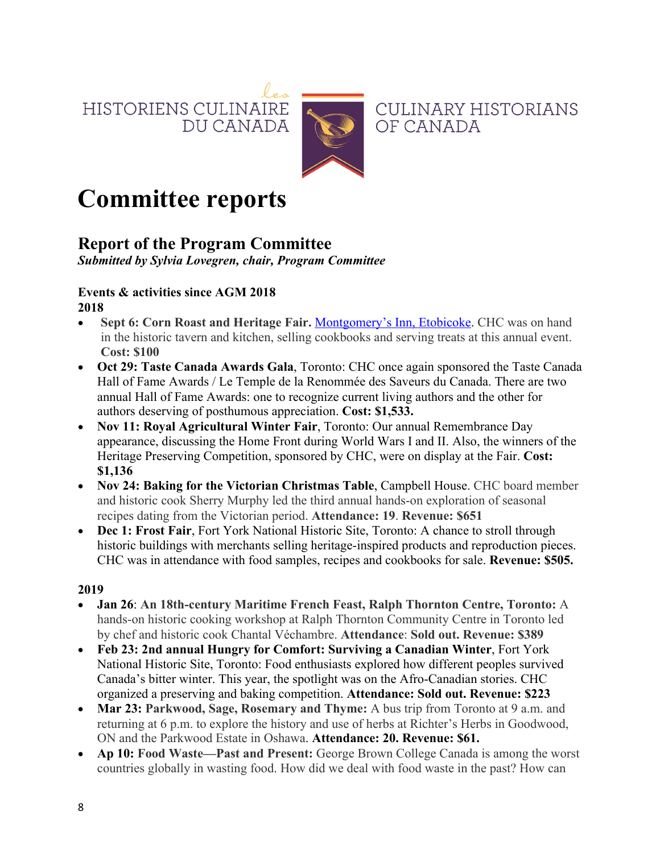HISTORIENS CULINAIRE DU CANADA



**CULINARY HISTORIANS** OF CANADA

# **Committee reports**

# **Report of the Program Committee**

*Submitted by Sylvia Lovegren, chair, Program Committee*

### **Events & activities since AGM 2018 2018**

- **Sept 6: Corn Roast and Heritage Fair.** Montgomery's Inn, Etobicoke. CHC was on hand in the historic tavern and kitchen, selling cookbooks and serving treats at this annual event. **Cost: \$100**
- **Oct 29: Taste Canada Awards Gala**, Toronto: CHC once again sponsored the Taste Canada Hall of Fame Awards / Le Temple de la Renommée des Saveurs du Canada. There are two annual Hall of Fame Awards: one to recognize current living authors and the other for authors deserving of posthumous appreciation. **Cost: \$1,533.**
- **Nov 11: Royal Agricultural Winter Fair**, Toronto: Our annual Remembrance Day appearance, discussing the Home Front during World Wars I and II. Also, the winners of the Heritage Preserving Competition, sponsored by CHC, were on display at the Fair. **Cost: \$1,136**
- **Nov 24: Baking for the Victorian Christmas Table**, Campbell House. CHC board member and historic cook Sherry Murphy led the third annual hands-on exploration of seasonal recipes dating from the Victorian period. **Attendance: 19**. **Revenue: \$651**
- **Dec 1: Frost Fair**, Fort York National Historic Site, Toronto: A chance to stroll through historic buildings with merchants selling heritage-inspired products and reproduction pieces. CHC was in attendance with food samples, recipes and cookbooks for sale. **Revenue: \$505.**

### **2019**

- **Jan 26**: **An 18th-century Maritime French Feast, Ralph Thornton Centre, Toronto:** A hands-on historic cooking workshop at Ralph Thornton Community Centre in Toronto led by chef and historic cook Chantal Véchambre. **Attendance**: **Sold out. Revenue: \$389**
- **Feb 23: 2nd annual Hungry for Comfort: Surviving a Canadian Winter**, Fort York National Historic Site, Toronto: Food enthusiasts explored how different peoples survived Canada's bitter winter. This year, the spotlight was on the Afro-Canadian stories. CHC organized a preserving and baking competition. **Attendance: Sold out. Revenue: \$223**
- **Mar 23: Parkwood, Sage, Rosemary and Thyme:** A bus trip from Toronto at 9 a.m. and returning at 6 p.m. to explore the history and use of herbs at Richter's Herbs in Goodwood, ON and the Parkwood Estate in Oshawa. **Attendance: 20. Revenue: \$61.**
- **Ap 10: Food Waste—Past and Present:** George Brown College Canada is among the worst countries globally in wasting food. How did we deal with food waste in the past? How can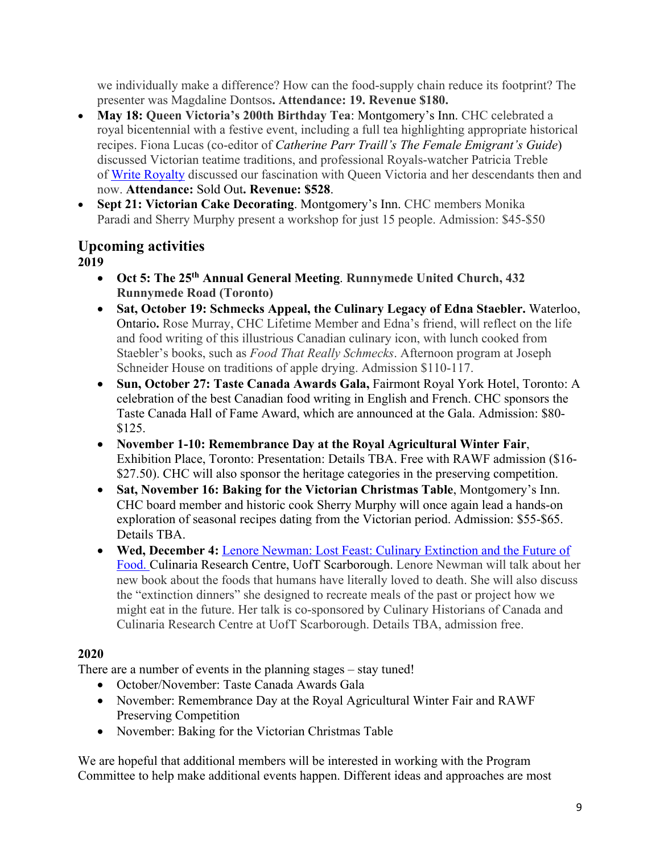we individually make a difference? How can the food-supply chain reduce its footprint? The presenter was Magdaline Dontsos**. Attendance: 19. Revenue \$180.**

- **May 18: Queen Victoria's 200th Birthday Tea**: Montgomery's Inn. CHC celebrated a royal bicentennial with a festive event, including a full tea highlighting appropriate historical recipes. Fiona Lucas (co-editor of *Catherine Parr Traill's The Female Emigrant's Guide*) discussed Victorian teatime traditions, and professional Royals-watcher Patricia Treble of Write Royalty discussed our fascination with Queen Victoria and her descendants then and now. **Attendance:** Sold Out**. Revenue: \$528**.
- **Sept 21: Victorian Cake Decorating**. Montgomery's Inn. CHC members Monika Paradi and Sherry Murphy present a workshop for just 15 people. Admission: \$45-\$50

# **Upcoming activities**

**2019**

- **Oct 5: The 25th Annual General Meeting**. **Runnymede United Church, 432 Runnymede Road (Toronto)**
- **Sat, October 19: Schmecks Appeal, the Culinary Legacy of Edna Staebler.** Waterloo, Ontario**.** Rose Murray, CHC Lifetime Member and Edna's friend, will reflect on the life and food writing of this illustrious Canadian culinary icon, with lunch cooked from Staebler's books, such as *Food That Really Schmecks*. Afternoon program at Joseph Schneider House on traditions of apple drying. Admission \$110-117.
- **Sun, October 27: Taste Canada Awards Gala,** Fairmont Royal York Hotel, Toronto: A celebration of the best Canadian food writing in English and French. CHC sponsors the Taste Canada Hall of Fame Award, which are announced at the Gala. Admission: \$80- \$125.
- **November 1-10: Remembrance Day at the Royal Agricultural Winter Fair**, Exhibition Place, Toronto: Presentation: Details TBA. Free with RAWF admission (\$16- \$27.50). CHC will also sponsor the heritage categories in the preserving competition.
- **Sat, November 16: Baking for the Victorian Christmas Table**, Montgomery's Inn. CHC board member and historic cook Sherry Murphy will once again lead a hands-on exploration of seasonal recipes dating from the Victorian period. Admission: \$55-\$65. Details TBA.
- **Wed, December 4:** Lenore Newman: Lost Feast: Culinary Extinction and the Future of Food. Culinaria Research Centre, UofT Scarborough. Lenore Newman will talk about her new book about the foods that humans have literally loved to death. She will also discuss the "extinction dinners" she designed to recreate meals of the past or project how we might eat in the future. Her talk is co-sponsored by Culinary Historians of Canada and Culinaria Research Centre at UofT Scarborough. Details TBA, admission free.

### **2020**

There are a number of events in the planning stages – stay tuned!

- October/November: Taste Canada Awards Gala
- November: Remembrance Day at the Royal Agricultural Winter Fair and RAWF Preserving Competition
- November: Baking for the Victorian Christmas Table

We are hopeful that additional members will be interested in working with the Program Committee to help make additional events happen. Different ideas and approaches are most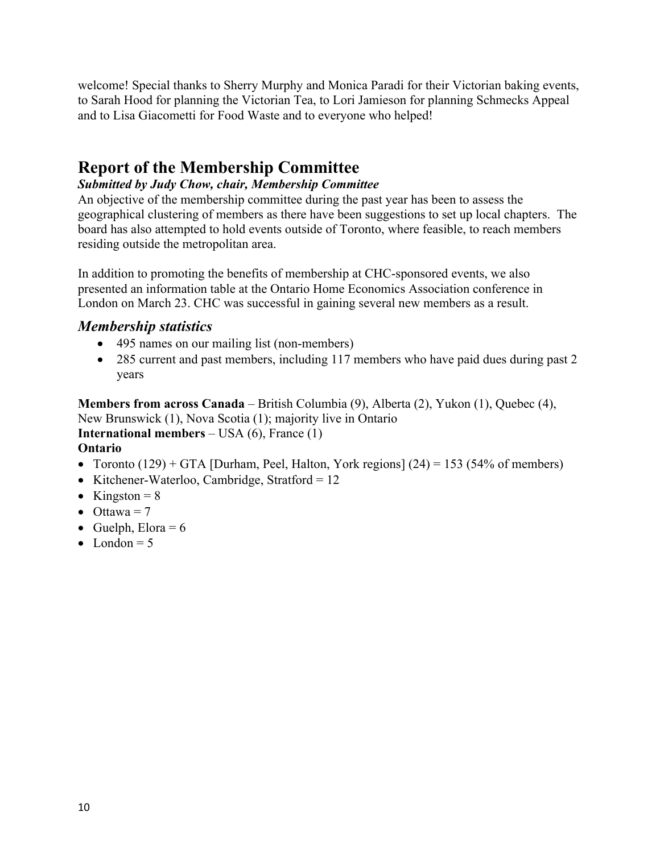welcome! Special thanks to Sherry Murphy and Monica Paradi for their Victorian baking events, to Sarah Hood for planning the Victorian Tea, to Lori Jamieson for planning Schmecks Appeal and to Lisa Giacometti for Food Waste and to everyone who helped!

## **Report of the Membership Committee**

### *Submitted by Judy Chow, chair, Membership Committee*

An objective of the membership committee during the past year has been to assess the geographical clustering of members as there have been suggestions to set up local chapters. The board has also attempted to hold events outside of Toronto, where feasible, to reach members residing outside the metropolitan area.

In addition to promoting the benefits of membership at CHC-sponsored events, we also presented an information table at the Ontario Home Economics Association conference in London on March 23. CHC was successful in gaining several new members as a result.

### *Membership statistics*

- 495 names on our mailing list (non-members)
- 285 current and past members, including 117 members who have paid dues during past 2 years

**Members from across Canada** – British Columbia (9), Alberta (2), Yukon (1), Quebec (4), New Brunswick (1), Nova Scotia (1); majority live in Ontario **International members** – USA (6), France (1) **Ontario**

- Toronto  $(129)$  + GTA [Durham, Peel, Halton, York regions]  $(24)$  = 153 (54% of members)
- Kitchener-Waterloo, Cambridge, Stratford =  $12$
- Kingston =  $8$
- Ottawa =  $7$
- Guelph, Elora =  $6$
- London  $= 5$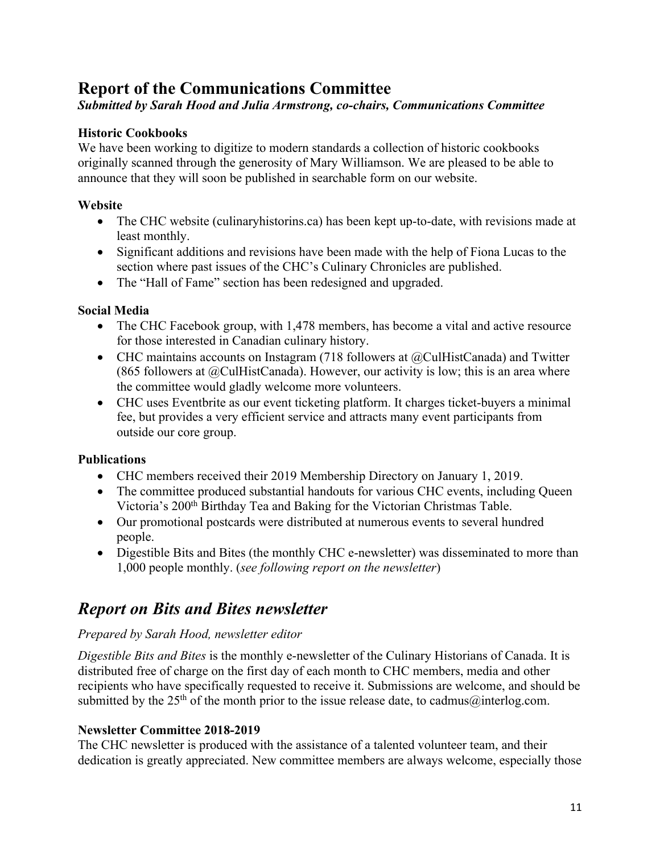# **Report of the Communications Committee**

### *Submitted by Sarah Hood and Julia Armstrong, co-chairs, Communications Committee*

### **Historic Cookbooks**

We have been working to digitize to modern standards a collection of historic cookbooks originally scanned through the generosity of Mary Williamson. We are pleased to be able to announce that they will soon be published in searchable form on our website.

### **Website**

- The CHC website (culinaryhistorins.ca) has been kept up-to-date, with revisions made at least monthly.
- Significant additions and revisions have been made with the help of Fiona Lucas to the section where past issues of the CHC's Culinary Chronicles are published.
- The "Hall of Fame" section has been redesigned and upgraded.

### **Social Media**

- The CHC Facebook group, with 1,478 members, has become a vital and active resource for those interested in Canadian culinary history.
- CHC maintains accounts on Instagram (718 followers at @CulHistCanada) and Twitter (865 followers at  $@C \text{ulHistCanada}$ ). However, our activity is low; this is an area where the committee would gladly welcome more volunteers.
- CHC uses Eventbrite as our event ticketing platform. It charges ticket-buyers a minimal fee, but provides a very efficient service and attracts many event participants from outside our core group.

### **Publications**

- CHC members received their 2019 Membership Directory on January 1, 2019.
- The committee produced substantial handouts for various CHC events, including Queen Victoria's 200<sup>th</sup> Birthday Tea and Baking for the Victorian Christmas Table.
- Our promotional postcards were distributed at numerous events to several hundred people.
- Digestible Bits and Bites (the monthly CHC e-newsletter) was disseminated to more than 1,000 people monthly. (*see following report on the newsletter*)

### *Report on Bits and Bites newsletter*

### *Prepared by Sarah Hood, newsletter editor*

*Digestible Bits and Bites* is the monthly e-newsletter of the Culinary Historians of Canada. It is distributed free of charge on the first day of each month to CHC members, media and other recipients who have specifically requested to receive it. Submissions are welcome, and should be submitted by the 25<sup>th</sup> of the month prior to the issue release date, to cadmus@interlog.com.

### **Newsletter Committee 2018-2019**

The CHC newsletter is produced with the assistance of a talented volunteer team, and their dedication is greatly appreciated. New committee members are always welcome, especially those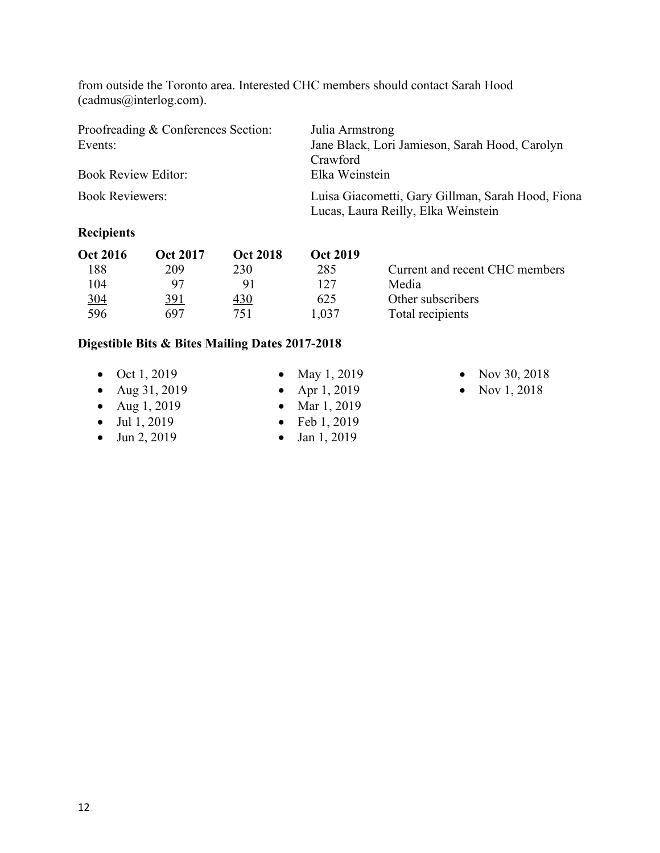from outside the Toronto area. Interested CHC members should contact Sarah Hood (cadmus@interlog.com).

| Proofreading & Conferences Section: | Julia Armstrong                                                                          |  |  |
|-------------------------------------|------------------------------------------------------------------------------------------|--|--|
| Events:                             | Jane Black, Lori Jamieson, Sarah Hood, Carolyn                                           |  |  |
|                                     | Crawford                                                                                 |  |  |
| <b>Book Review Editor:</b>          | Elka Weinstein                                                                           |  |  |
| <b>Book Reviewers:</b>              | Luisa Giacometti, Gary Gillman, Sarah Hood, Fiona<br>Lucas, Laura Reilly, Elka Weinstein |  |  |

### **Recipients**

| <b>Oct 2016</b> | Oct 2017 | <b>Oct 2018</b> | Oct 2019 |                                |
|-----------------|----------|-----------------|----------|--------------------------------|
| 188             | 209      | 230             | 285      | Current and recent CHC members |
| 104             | 97       |                 | 127      | Media                          |
| <u>304</u>      | 391      | 430             | 625      | Other subscribers              |
| 596             | 697      | 751             | 1.037    | Total recipients               |

### **Digestible Bits & Bites Mailing Dates 2017-2018**

- Oct  $1, 2019$
- Aug 31, 2019
- Aug 1, 2019
- Jul 1, 2019
- Jun 2, 2019
- May 1, 2019
- Apr 1, 2019
- Mar 1, 2019
- Feb 1, 2019
- Jan 1, 2019
- Nov 30, 2018
- Nov 1, 2018